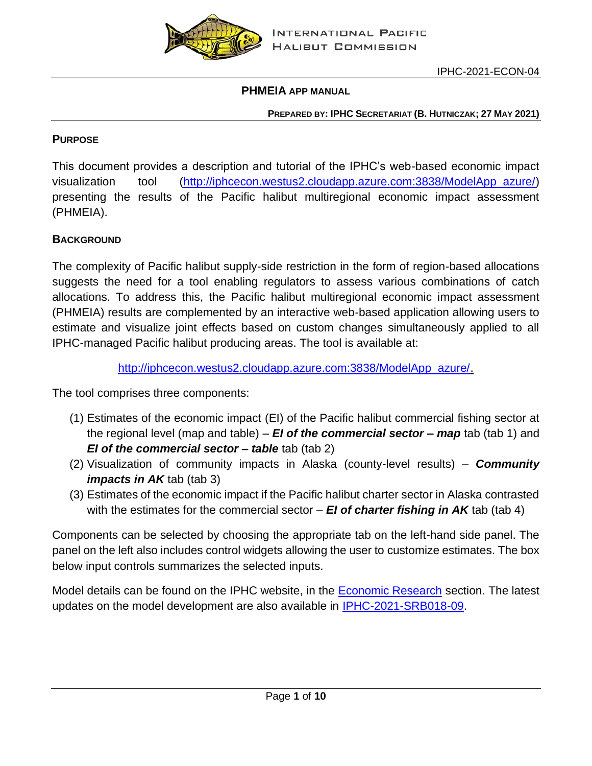

### **PHMEIA APP MANUAL**

#### **PREPARED BY: IPHC SECRETARIAT (B. HUTNICZAK; 27 MAY 2021)**

## **PURPOSE**

This document provides a description and tutorial of the IPHC's web-based economic impact visualization tool [\(http://iphcecon.westus2.cloudapp.azure.com:3838/ModelApp\\_azure/\)](http://iphcecon.westus2.cloudapp.azure.com:3838/ModelApp_azure/) presenting the results of the Pacific halibut multiregional economic impact assessment (PHMEIA).

## **BACKGROUND**

The complexity of Pacific halibut supply-side restriction in the form of region-based allocations suggests the need for a tool enabling regulators to assess various combinations of catch allocations. To address this, the Pacific halibut multiregional economic impact assessment (PHMEIA) results are complemented by an interactive web-based application allowing users to estimate and visualize joint effects based on custom changes simultaneously applied to all IPHC-managed Pacific halibut producing areas. The tool is available at:

### [http://iphcecon.westus2.cloudapp.azure.com:3838/ModelApp\\_azure/.](http://iphcecon.westus2.cloudapp.azure.com:3838/ModelApp_azure/)

The tool comprises three components:

- (1) Estimates of the economic impact (EI) of the Pacific halibut commercial fishing sector at the regional level (map and table) – *EI of the commercial sector – map* tab (tab 1) and *EI of the commercial sector – table* tab (tab 2)
- (2) Visualization of community impacts in Alaska (county-level results) *Community impacts in AK* tab (tab 3)
- (3) Estimates of the economic impact if the Pacific halibut charter sector in Alaska contrasted with the estimates for the commercial sector – *EI of charter fishing in AK* tab (tab 4)

Components can be selected by choosing the appropriate tab on the left-hand side panel. The panel on the left also includes control widgets allowing the user to customize estimates. The box below input controls summarizes the selected inputs.

Model details can be found on the IPHC website, in the [Economic Research](https://www.iphc.int/management/science-and-research/economic-research) section. The latest updates on the model development are also available in [IPHC-2021-SRB018-09.](https://www.iphc.int/uploads/pdf/srb/srb018/iphc-2021-srb018-09.pdf)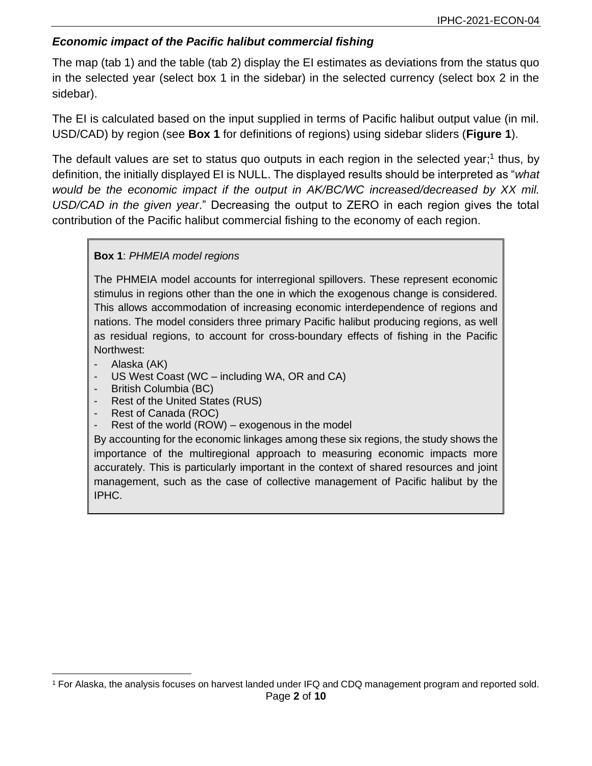## *Economic impact of the Pacific halibut commercial fishing*

The map (tab 1) and the table (tab 2) display the EI estimates as deviations from the status quo in the selected year (select box 1 in the sidebar) in the selected currency (select box 2 in the sidebar).

The EI is calculated based on the input supplied in terms of Pacific halibut output value (in mil. USD/CAD) by region (see **[Box 1](#page-1-0)** for definitions of regions) using sidebar sliders (**[Figure](#page-2-0) 1**).

The default values are set to status quo outputs in each region in the selected year;<sup>1</sup> thus, by definition, the initially displayed EI is NULL. The displayed results should be interpreted as "*what would be the economic impact if the output in AK/BC/WC increased/decreased by XX mil. USD/CAD in the given year*." Decreasing the output to ZERO in each region gives the total contribution of the Pacific halibut commercial fishing to the economy of each region.

### <span id="page-1-0"></span>**Box 1**: *PHMEIA model regions*

The PHMEIA model accounts for interregional spillovers. These represent economic stimulus in regions other than the one in which the exogenous change is considered. This allows accommodation of increasing economic interdependence of regions and nations. The model considers three primary Pacific halibut producing regions, as well as residual regions, to account for cross-boundary effects of fishing in the Pacific Northwest:

- Alaska (AK)
- US West Coast (WC including WA, OR and CA)
- British Columbia (BC)
- Rest of the United States (RUS)
- Rest of Canada (ROC)
- Rest of the world (ROW) exogenous in the model

By accounting for the economic linkages among these six regions, the study shows the importance of the multiregional approach to measuring economic impacts more accurately. This is particularly important in the context of shared resources and joint management, such as the case of collective management of Pacific halibut by the IPHC.

Page **2** of **10** <sup>1</sup> For Alaska, the analysis focuses on harvest landed under IFQ and CDQ management program and reported sold.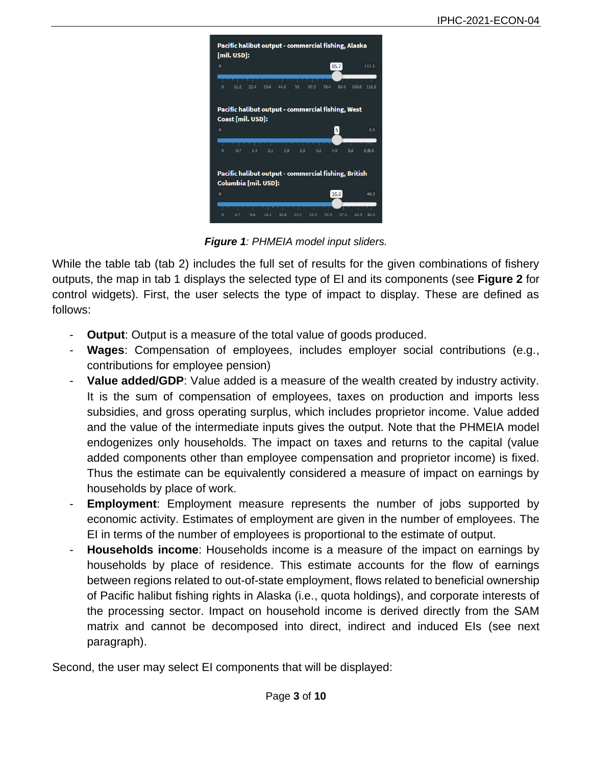

*Figure 1: PHMEIA model input sliders.*

<span id="page-2-0"></span>While the table tab (tab 2) includes the full set of results for the given combinations of fishery outputs, the map in tab 1 displays the selected type of EI and its components (see **[Figure](#page-3-0) 2** for control widgets). First, the user selects the type of impact to display. These are defined as follows:

- **Output:** Output is a measure of the total value of goods produced.
- **Wages**: Compensation of employees, includes employer social contributions (e.g., contributions for employee pension)
- **Value added/GDP:** Value added is a measure of the wealth created by industry activity. It is the sum of compensation of employees, taxes on production and imports less subsidies, and gross operating surplus, which includes proprietor income. Value added and the value of the intermediate inputs gives the output. Note that the PHMEIA model endogenizes only households. The impact on taxes and returns to the capital (value added components other than employee compensation and proprietor income) is fixed. Thus the estimate can be equivalently considered a measure of impact on earnings by households by place of work.
- **Employment:** Employment measure represents the number of jobs supported by economic activity. Estimates of employment are given in the number of employees. The EI in terms of the number of employees is proportional to the estimate of output.
- **Households income**: Households income is a measure of the impact on earnings by households by place of residence. This estimate accounts for the flow of earnings between regions related to out-of-state employment, flows related to beneficial ownership of Pacific halibut fishing rights in Alaska (i.e., quota holdings), and corporate interests of the processing sector. Impact on household income is derived directly from the SAM matrix and cannot be decomposed into direct, indirect and induced EIs (see next paragraph).

Second, the user may select EI components that will be displayed: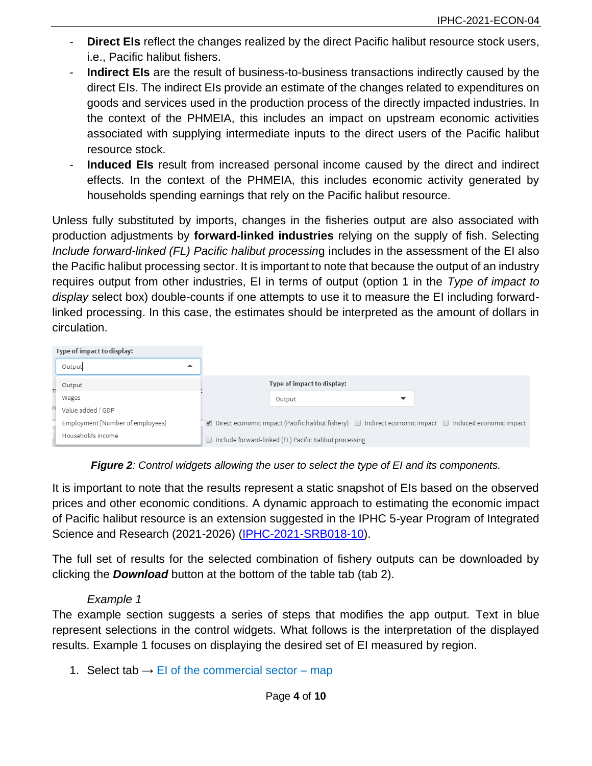- **Direct EIs** reflect the changes realized by the direct Pacific halibut resource stock users, i.e., Pacific halibut fishers.
- **Indirect EIs** are the result of business-to-business transactions indirectly caused by the direct EIs. The indirect EIs provide an estimate of the changes related to expenditures on goods and services used in the production process of the directly impacted industries. In the context of the PHMEIA, this includes an impact on upstream economic activities associated with supplying intermediate inputs to the direct users of the Pacific halibut resource stock.
- Induced EIs result from increased personal income caused by the direct and indirect effects. In the context of the PHMEIA, this includes economic activity generated by households spending earnings that rely on the Pacific halibut resource.

Unless fully substituted by imports, changes in the fisheries output are also associated with production adjustments by **forward-linked industries** relying on the supply of fish. Selecting *Include forward-linked (FL) Pacific halibut processin*g includes in the assessment of the EI also the Pacific halibut processing sector. It is important to note that because the output of an industry requires output from other industries, EI in terms of output (option 1 in the *Type of impact to display* select box) double-counts if one attempts to use it to measure the EI including forwardlinked processing. In this case, the estimates should be interpreted as the amount of dollars in circulation.

| Type of impact to display: |                                  |                                                                                                                 |
|----------------------------|----------------------------------|-----------------------------------------------------------------------------------------------------------------|
|                            | Output<br>▴                      |                                                                                                                 |
|                            | Output                           | Type of impact to display:                                                                                      |
|                            | Wages                            | Output                                                                                                          |
|                            | Value added / GDP                |                                                                                                                 |
|                            | Employment [Number of employees] | Direct economic impact (Pacific halibut fishery) $\Box$ Indirect economic impact $\Box$ Induced economic impact |
|                            | Households income                | Include forward-linked (FL) Pacific halibut processing<br>$\Box$                                                |

*Figure 2: Control widgets allowing the user to select the type of EI and its components.*

<span id="page-3-0"></span>It is important to note that the results represent a static snapshot of EIs based on the observed prices and other economic conditions. A dynamic approach to estimating the economic impact of Pacific halibut resource is an extension suggested in the IPHC 5-year Program of Integrated Science and Research (2021-2026) [\(IPHC-2021-SRB018-10\)](https://www.iphc.int/uploads/pdf/srb/srb018/iphc-2021-srb018-10.pdf).

The full set of results for the selected combination of fishery outputs can be downloaded by clicking the *Download* button at the bottom of the table tab (tab 2).

### *Example 1*

<span id="page-3-1"></span>The example section suggests a series of steps that modifies the app output. Text in blue represent selections in the control widgets. What follows is the interpretation of the displayed results. Example 1 focuses on displaying the desired set of EI measured by region.

1. Select tab  $\rightarrow$  EI of the commercial sector – map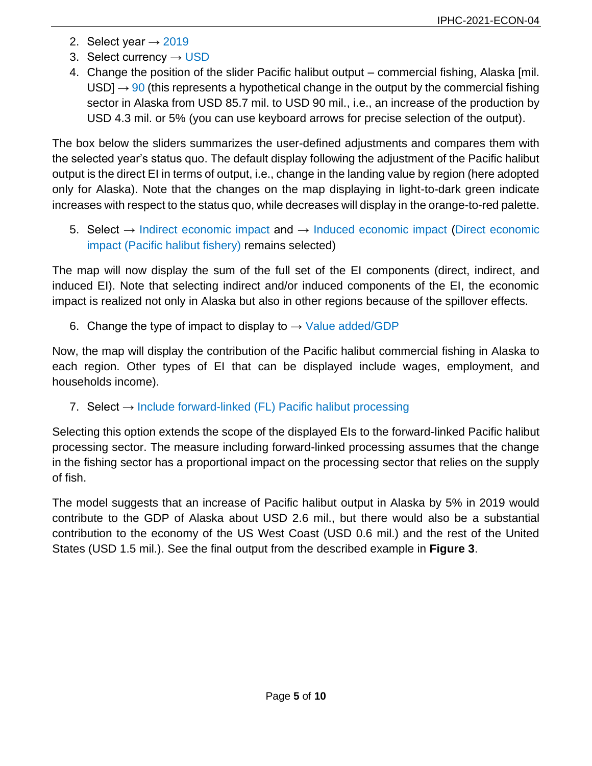- 2. Select year  $\rightarrow$  2019
- 3. Select currency  $\rightarrow$  USD
- 4. Change the position of the slider Pacific halibut output commercial fishing, Alaska [mil. USD]  $\rightarrow$  90 (this represents a hypothetical change in the output by the commercial fishing sector in Alaska from USD 85.7 mil. to USD 90 mil., i.e., an increase of the production by USD 4.3 mil. or 5% (you can use keyboard arrows for precise selection of the output).

The box below the sliders summarizes the user-defined adjustments and compares them with the selected year's status quo. The default display following the adjustment of the Pacific halibut output is the direct EI in terms of output, i.e., change in the landing value by region (here adopted only for Alaska). Note that the changes on the map displaying in light-to-dark green indicate increases with respect to the status quo, while decreases will display in the orange-to-red palette.

5. Select  $→$  Indirect economic impact and  $→$  Induced economic impact (Direct economic impact (Pacific halibut fishery) remains selected)

The map will now display the sum of the full set of the EI components (direct, indirect, and induced EI). Note that selecting indirect and/or induced components of the EI, the economic impact is realized not only in Alaska but also in other regions because of the spillover effects.

6. Change the type of impact to display to  $\rightarrow$  Value added/GDP

Now, the map will display the contribution of the Pacific halibut commercial fishing in Alaska to each region. Other types of EI that can be displayed include wages, employment, and households income).

7. Select  $\rightarrow$  Include forward-linked (FL) Pacific halibut processing

Selecting this option extends the scope of the displayed EIs to the forward-linked Pacific halibut processing sector. The measure including forward-linked processing assumes that the change in the fishing sector has a proportional impact on the processing sector that relies on the supply of fish.

The model suggests that an increase of Pacific halibut output in Alaska by 5% in 2019 would contribute to the GDP of Alaska about USD 2.6 mil., but there would also be a substantial contribution to the economy of the US West Coast (USD 0.6 mil.) and the rest of the United States (USD 1.5 mil.). See the final output from the described example in **[Figure](#page-5-0) 3**.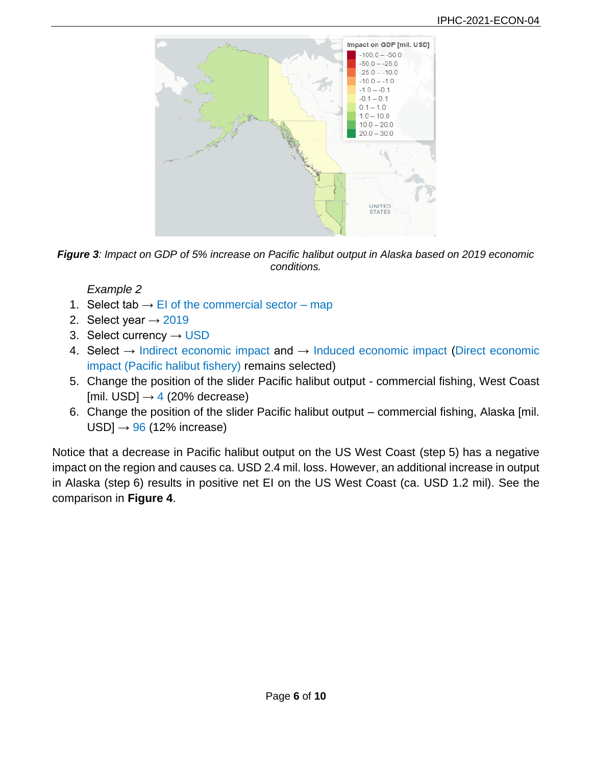

<span id="page-5-0"></span>

*Example 2*

- 1. Select tab  $\rightarrow$  EI of the commercial sector map
- 2. Select year  $\rightarrow$  2019
- 3. Select currency  $\rightarrow$  USD
- 4. Select  $\rightarrow$  Indirect economic impact and  $\rightarrow$  Induced economic impact (Direct economic impact (Pacific halibut fishery) remains selected)
- 5. Change the position of the slider Pacific halibut output commercial fishing, West Coast [mil. USD]  $\rightarrow$  4 (20% decrease)
- 6. Change the position of the slider Pacific halibut output commercial fishing, Alaska [mil.  $USD$ ]  $\rightarrow$  96 (12% increase)

Notice that a decrease in Pacific halibut output on the US West Coast (step 5) has a negative impact on the region and causes ca. USD 2.4 mil. loss. However, an additional increase in output in Alaska (step 6) results in positive net EI on the US West Coast (ca. USD 1.2 mil). See the comparison in **[Figure](#page-6-0) 4**.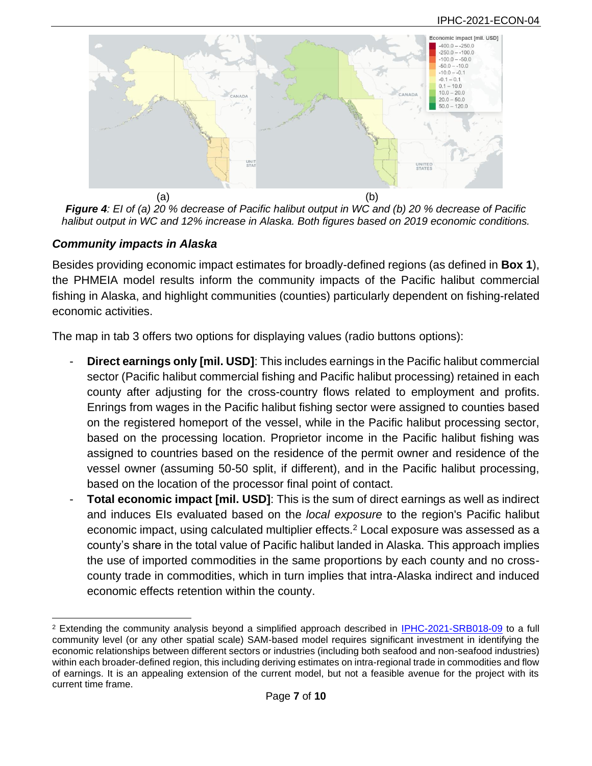

<span id="page-6-0"></span>*Figure 4: EI of (a) 20 % decrease of Pacific halibut output in WC and (b) 20 % decrease of Pacific halibut output in WC and 12% increase in Alaska. Both figures based on 2019 economic conditions.*

## *Community impacts in Alaska*

Besides providing economic impact estimates for broadly-defined regions (as defined in **[Box 1](#page-1-0)**), the PHMEIA model results inform the community impacts of the Pacific halibut commercial fishing in Alaska, and highlight communities (counties) particularly dependent on fishing-related economic activities.

The map in tab 3 offers two options for displaying values (radio buttons options):

- **Direct earnings only [mil. USD]**: This includes earnings in the Pacific halibut commercial sector (Pacific halibut commercial fishing and Pacific halibut processing) retained in each county after adjusting for the cross-country flows related to employment and profits. Enrings from wages in the Pacific halibut fishing sector were assigned to counties based on the registered homeport of the vessel, while in the Pacific halibut processing sector, based on the processing location. Proprietor income in the Pacific halibut fishing was assigned to countries based on the residence of the permit owner and residence of the vessel owner (assuming 50-50 split, if different), and in the Pacific halibut processing, based on the location of the processor final point of contact.
- **Total economic impact [mil. USD]**: This is the sum of direct earnings as well as indirect and induces EIs evaluated based on the *local exposure* to the region's Pacific halibut economic impact, using calculated multiplier effects.<sup>2</sup> Local exposure was assessed as a county's share in the total value of Pacific halibut landed in Alaska. This approach implies the use of imported commodities in the same proportions by each county and no crosscounty trade in commodities, which in turn implies that intra-Alaska indirect and induced economic effects retention within the county.

<sup>2</sup> Extending the community analysis beyond a simplified approach described in [IPHC-2021-SRB018-09](https://www.iphc.int/uploads/pdf/srb/srb018/iphc-2021-srb018-09.pdf) to a full community level (or any other spatial scale) SAM-based model requires significant investment in identifying the economic relationships between different sectors or industries (including both seafood and non-seafood industries) within each broader-defined region, this including deriving estimates on intra-regional trade in commodities and flow of earnings. It is an appealing extension of the current model, but not a feasible avenue for the project with its current time frame.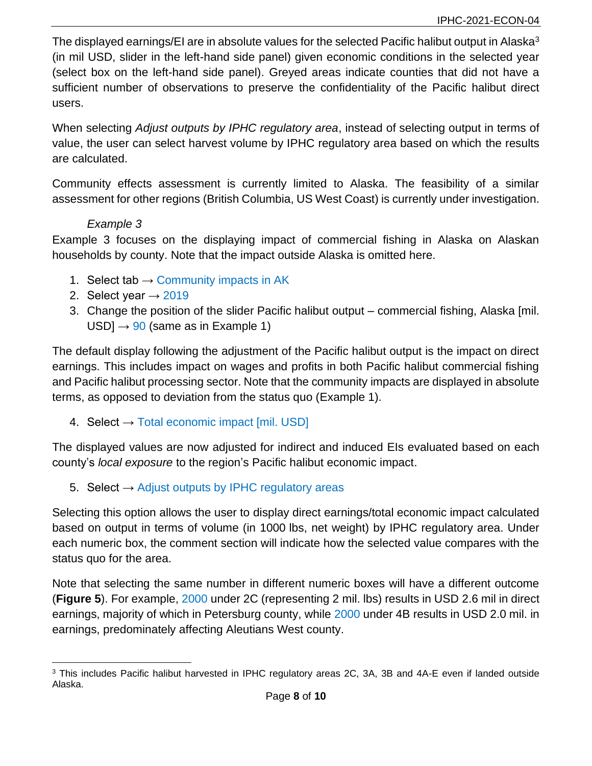The displayed earnings/EI are in absolute values for the selected Pacific halibut output in Alaska<sup>3</sup> (in mil USD, slider in the left-hand side panel) given economic conditions in the selected year (select box on the left-hand side panel). Greyed areas indicate counties that did not have a sufficient number of observations to preserve the confidentiality of the Pacific halibut direct users.

When selecting *Adjust outputs by IPHC regulatory area*, instead of selecting output in terms of value, the user can select harvest volume by IPHC regulatory area based on which the results are calculated.

Community effects assessment is currently limited to Alaska. The feasibility of a similar assessment for other regions (British Columbia, US West Coast) is currently under investigation.

## *Example 3*

<span id="page-7-0"></span>[Example 3](#page-7-0) focuses on the displaying impact of commercial fishing in Alaska on Alaskan households by county. Note that the impact outside Alaska is omitted here.

- 1. Select tab  $\rightarrow$  Community impacts in AK
- 2. Select year  $\rightarrow$  2019
- 3. Change the position of the slider Pacific halibut output commercial fishing, Alaska [mil.  $USD$ ]  $\rightarrow$  90 (same as in [Example 1\)](#page-3-1)

The default display following the adjustment of the Pacific halibut output is the impact on direct earnings. This includes impact on wages and profits in both Pacific halibut commercial fishing and Pacific halibut processing sector. Note that the community impacts are displayed in absolute terms, as opposed to deviation from the status quo [\(Example 1\)](#page-3-1).

4. Select  $\rightarrow$  Total economic impact [mil. USD]

The displayed values are now adjusted for indirect and induced EIs evaluated based on each county's *local exposure* to the region's Pacific halibut economic impact.

5. Select  $\rightarrow$  Adjust outputs by IPHC regulatory areas

Selecting this option allows the user to display direct earnings/total economic impact calculated based on output in terms of volume (in 1000 lbs, net weight) by IPHC regulatory area. Under each numeric box, the comment section will indicate how the selected value compares with the status quo for the area.

Note that selecting the same number in different numeric boxes will have a different outcome (**[Figure 5](#page-8-0)**). For example, 2000 under 2C (representing 2 mil. lbs) results in USD 2.6 mil in direct earnings, majority of which in Petersburg county, while 2000 under 4B results in USD 2.0 mil. in earnings, predominately affecting Aleutians West county.

<sup>3</sup> This includes Pacific halibut harvested in IPHC regulatory areas 2C, 3A, 3B and 4A-E even if landed outside Alaska.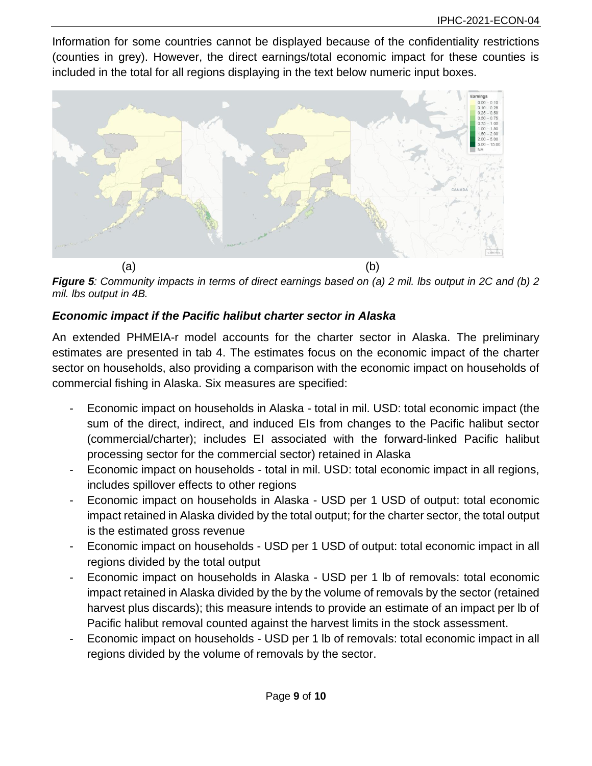Information for some countries cannot be displayed because of the confidentiality restrictions (counties in grey). However, the direct earnings/total economic impact for these counties is included in the total for all regions displaying in the text below numeric input boxes.



<span id="page-8-0"></span>*Figure 5: Community impacts in terms of direct earnings based on (a) 2 mil. lbs output in 2C and (b) 2 mil. lbs output in 4B.*

# *Economic impact if the Pacific halibut charter sector in Alaska*

An extended PHMEIA-r model accounts for the charter sector in Alaska. The preliminary estimates are presented in tab 4. The estimates focus on the economic impact of the charter sector on households, also providing a comparison with the economic impact on households of commercial fishing in Alaska. Six measures are specified:

- Economic impact on households in Alaska total in mil. USD: total economic impact (the sum of the direct, indirect, and induced EIs from changes to the Pacific halibut sector (commercial/charter); includes EI associated with the forward-linked Pacific halibut processing sector for the commercial sector) retained in Alaska
- Economic impact on households total in mil. USD: total economic impact in all regions, includes spillover effects to other regions
- Economic impact on households in Alaska USD per 1 USD of output: total economic impact retained in Alaska divided by the total output; for the charter sector, the total output is the estimated gross revenue
- Economic impact on households USD per 1 USD of output: total economic impact in all regions divided by the total output
- Economic impact on households in Alaska USD per 1 lb of removals: total economic impact retained in Alaska divided by the by the volume of removals by the sector (retained harvest plus discards); this measure intends to provide an estimate of an impact per lb of Pacific halibut removal counted against the harvest limits in the stock assessment.
- Economic impact on households USD per 1 lb of removals: total economic impact in all regions divided by the volume of removals by the sector.